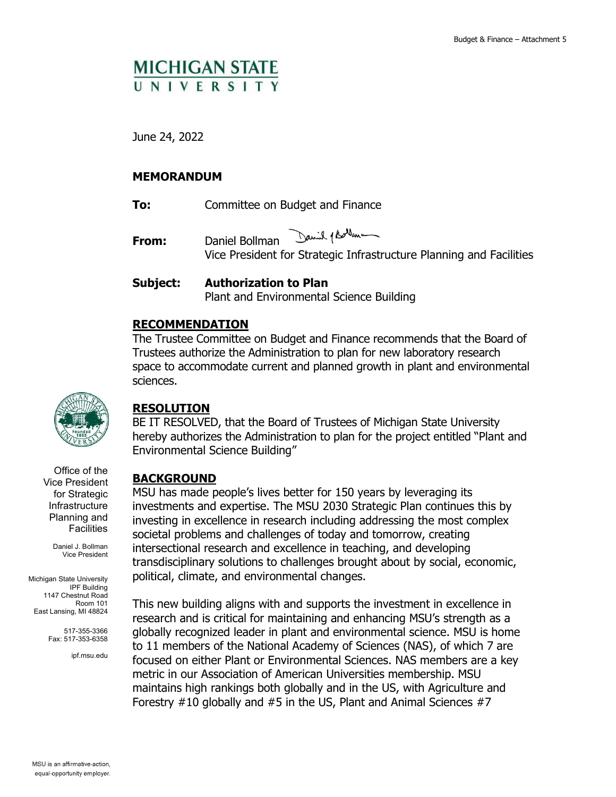# **MICHIGAN STATE** UNIVERSITY

June 24, 2022

## **MEMORANDUM**

**To:** Committee on Budget and Finance

David 1 Bollman **From:** Daniel Bollman Vice President for Strategic Infrastructure Planning and Facilities

## **Subject: Authorization to Plan**  Plant and Environmental Science Building

## **RECOMMENDATION**

The Trustee Committee on Budget and Finance recommends that the Board of Trustees authorize the Administration to plan for new laboratory research space to accommodate current and planned growth in plant and environmental sciences.



## **RESOLUTION**

BE IT RESOLVED, that the Board of Trustees of Michigan State University hereby authorizes the Administration to plan for the project entitled "Plant and Environmental Science Building"

Office of the Vice President for Strategic Infrastructure Planning and **Facilities** 

> Daniel J. Bollman Vice President

Michigan State University IPF Building 1147 Chestnut Road Room 101 East Lansing, MI 48824

> 517-355-3366 Fax: 517-353-6358

> > ipf.msu.edu

## **BACKGROUND**

MSU has made people's lives better for 150 years by leveraging its investments and expertise. The MSU 2030 Strategic Plan continues this by investing in excellence in research including addressing the most complex societal problems and challenges of today and tomorrow, creating intersectional research and excellence in teaching, and developing transdisciplinary solutions to challenges brought about by social, economic, political, climate, and environmental changes.

This new building aligns with and supports the investment in excellence in research and is critical for maintaining and enhancing MSU's strength as a globally recognized leader in plant and environmental science. MSU is home to 11 members of the National Academy of Sciences (NAS), of which 7 are focused on either Plant or Environmental Sciences. NAS members are a key metric in our Association of American Universities membership. MSU maintains high rankings both globally and in the US, with Agriculture and Forestry #10 globally and #5 in the US, Plant and Animal Sciences #7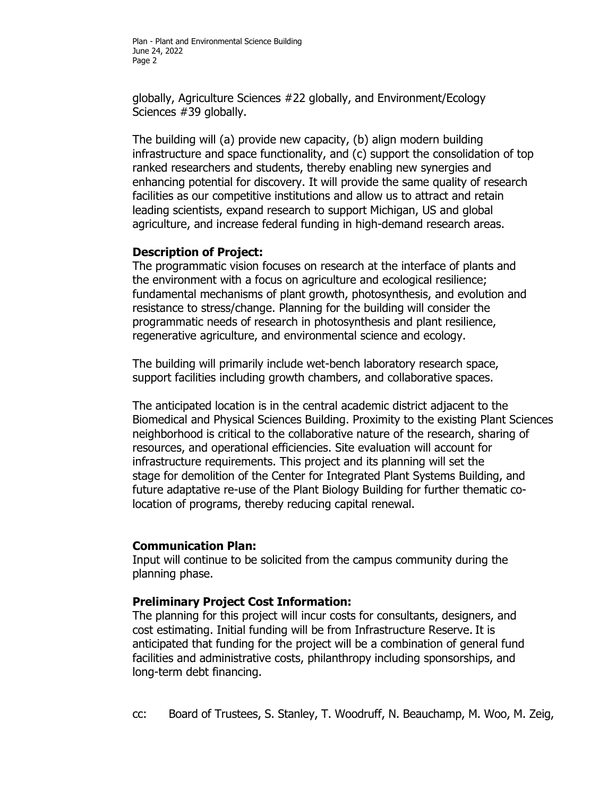globally, Agriculture Sciences #22 globally, and Environment/Ecology Sciences #39 globally.

The building will (a) provide new capacity, (b) align modern building infrastructure and space functionality, and (c) support the consolidation of top ranked researchers and students, thereby enabling new synergies and enhancing potential for discovery. It will provide the same quality of research facilities as our competitive institutions and allow us to attract and retain leading scientists, expand research to support Michigan, US and global agriculture, and increase federal funding in high-demand research areas.

## **Description of Project:**

The programmatic vision focuses on research at the interface of plants and the environment with a focus on agriculture and ecological resilience; fundamental mechanisms of plant growth, photosynthesis, and evolution and resistance to stress/change. Planning for the building will consider the programmatic needs of research in photosynthesis and plant resilience, regenerative agriculture, and environmental science and ecology.

The building will primarily include wet-bench laboratory research space, support facilities including growth chambers, and collaborative spaces.

The anticipated location is in the central academic district adjacent to the Biomedical and Physical Sciences Building. Proximity to the existing Plant Sciences neighborhood is critical to the collaborative nature of the research, sharing of resources, and operational efficiencies. Site evaluation will account for infrastructure requirements. This project and its planning will set the stage for demolition of the Center for Integrated Plant Systems Building, and future adaptative re-use of the Plant Biology Building for further thematic colocation of programs, thereby reducing capital renewal.

### **Communication Plan:**

Input will continue to be solicited from the campus community during the planning phase.

### **Preliminary Project Cost Information:**

The planning for this project will incur costs for consultants, designers, and cost estimating. Initial funding will be from Infrastructure Reserve. It is anticipated that funding for the project will be a combination of general fund facilities and administrative costs, philanthropy including sponsorships, and long-term debt financing.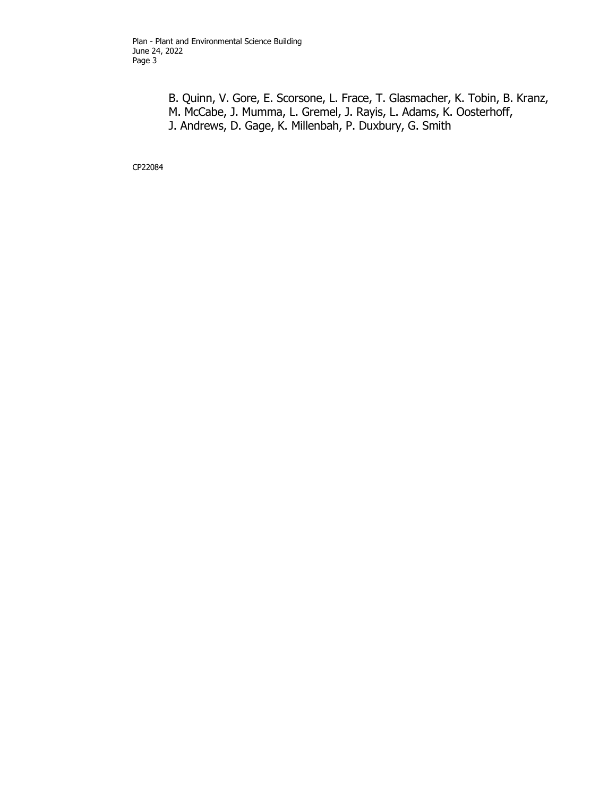B. Quinn, V. Gore, E. Scorsone, L. Frace, T. Glasmacher, K. Tobin, B. Kranz, M. McCabe, J. Mumma, L. Gremel, J. Rayis, L. Adams, K. Oosterhoff, J. Andrews, D. Gage, K. Millenbah, P. Duxbury, G. Smith

CP22084